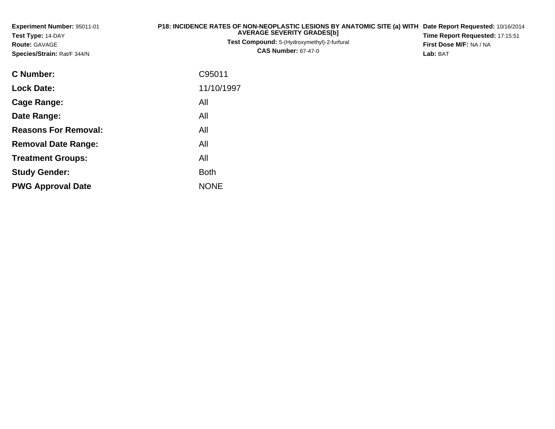| Experiment Number: 95011-01<br>Test Type: 14-DAY<br><b>Route: GAVAGE</b><br>Species/Strain: Rat/F 344/N | P18: INCIDENCE RATES OF NON-NEOPLASTIC LESIONS BY ANATOMIC SITE (a) WITH Date Report Requested: 10/16/2014<br><b>AVERAGE SEVERITY GRADES[b]</b><br>Test Compound: 5-(Hydroxymethyl)-2-furfural<br><b>CAS Number: 67-47-0</b> | Time Report Requested: 17:15:51<br>First Dose M/F: NA / NA<br>Lab: BAT |
|---------------------------------------------------------------------------------------------------------|------------------------------------------------------------------------------------------------------------------------------------------------------------------------------------------------------------------------------|------------------------------------------------------------------------|
| <b>C</b> Number:                                                                                        | C95011                                                                                                                                                                                                                       |                                                                        |
| <b>Lock Date:</b>                                                                                       | 11/10/1997                                                                                                                                                                                                                   |                                                                        |
| Cage Range:                                                                                             | All                                                                                                                                                                                                                          |                                                                        |
| Date Range:                                                                                             | All                                                                                                                                                                                                                          |                                                                        |
| <b>Reasons For Removal:</b>                                                                             | All                                                                                                                                                                                                                          |                                                                        |
| <b>Removal Date Range:</b>                                                                              | All                                                                                                                                                                                                                          |                                                                        |
| <b>Treatment Groups:</b>                                                                                | All                                                                                                                                                                                                                          |                                                                        |
| <b>Study Gender:</b>                                                                                    | <b>Both</b>                                                                                                                                                                                                                  |                                                                        |

e NONE

**PWG Approval Date**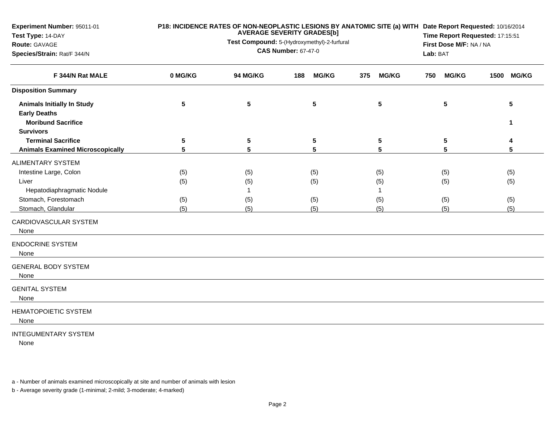| Experiment Number: 95011-01<br>Test Type: 14-DAY<br>Route: GAVAGE<br>Species/Strain: Rat/F 344/N                                                                 |                          | <b>AVERAGE SEVERITY GRADES[b]</b><br>Test Compound: 5-(Hydroxymethyl)-2-furfural<br><b>CAS Number: 67-47-0</b> | P18: INCIDENCE RATES OF NON-NEOPLASTIC LESIONS BY ANATOMIC SITE (a) WITH Date Report Requested: 10/16/2014<br>Time Report Requested: 17:15:51<br>First Dose M/F: NA / NA<br>Lab: BAT |                               |                          |                          |
|------------------------------------------------------------------------------------------------------------------------------------------------------------------|--------------------------|----------------------------------------------------------------------------------------------------------------|--------------------------------------------------------------------------------------------------------------------------------------------------------------------------------------|-------------------------------|--------------------------|--------------------------|
| F 344/N Rat MALE                                                                                                                                                 | 0 MG/KG                  | <b>94 MG/KG</b>                                                                                                | <b>MG/KG</b><br>188                                                                                                                                                                  | <b>MG/KG</b><br>375           | <b>MG/KG</b><br>750      | <b>MG/KG</b><br>1500     |
| <b>Disposition Summary</b>                                                                                                                                       |                          |                                                                                                                |                                                                                                                                                                                      |                               |                          |                          |
| <b>Animals Initially In Study</b><br><b>Early Deaths</b><br><b>Moribund Sacrifice</b>                                                                            | 5                        | 5                                                                                                              | 5                                                                                                                                                                                    | 5                             | 5                        | 5<br>1                   |
| <b>Survivors</b><br><b>Terminal Sacrifice</b>                                                                                                                    | 5                        | 5                                                                                                              | 5                                                                                                                                                                                    | 5                             | 5                        |                          |
| <b>Animals Examined Microscopically</b>                                                                                                                          | $5\phantom{1}$           | 5                                                                                                              | 5                                                                                                                                                                                    | 5                             | 5                        | 5                        |
| <b>ALIMENTARY SYSTEM</b><br>Intestine Large, Colon<br>Liver<br>Hepatodiaphragmatic Nodule<br>Stomach, Forestomach<br>Stomach, Glandular<br>CARDIOVASCULAR SYSTEM | (5)<br>(5)<br>(5)<br>(5) | (5)<br>(5)<br>(5)<br>(5)                                                                                       | (5)<br>(5)<br>(5)<br>(5)                                                                                                                                                             | (5)<br>(5)<br>1<br>(5)<br>(5) | (5)<br>(5)<br>(5)<br>(5) | (5)<br>(5)<br>(5)<br>(5) |
| None<br><b>ENDOCRINE SYSTEM</b><br>None                                                                                                                          |                          |                                                                                                                |                                                                                                                                                                                      |                               |                          |                          |
| <b>GENERAL BODY SYSTEM</b><br>None                                                                                                                               |                          |                                                                                                                |                                                                                                                                                                                      |                               |                          |                          |
| <b>GENITAL SYSTEM</b><br>None                                                                                                                                    |                          |                                                                                                                |                                                                                                                                                                                      |                               |                          |                          |
| <b>HEMATOPOIETIC SYSTEM</b><br>None                                                                                                                              |                          |                                                                                                                |                                                                                                                                                                                      |                               |                          |                          |
|                                                                                                                                                                  |                          |                                                                                                                |                                                                                                                                                                                      |                               |                          |                          |

## INTEGUMENTARY SYSTEM

None

a - Number of animals examined microscopically at site and number of animals with lesion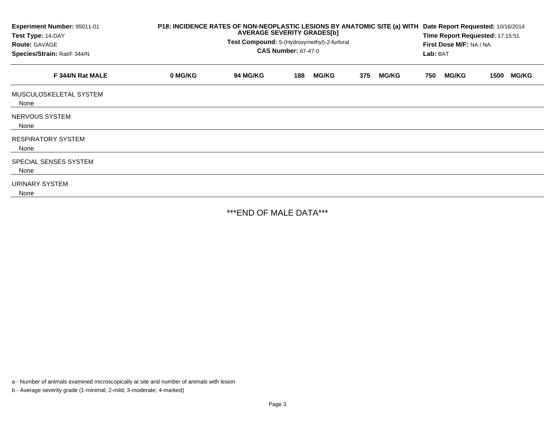| Experiment Number: 95011-01<br>Test Type: 14-DAY<br><b>Route: GAVAGE</b><br>Species/Strain: Rat/F 344/N | P18: INCIDENCE RATES OF NON-NEOPLASTIC LESIONS BY ANATOMIC SITE (a) WITH<br><b>AVERAGE SEVERITY GRADES[b]</b><br>Test Compound: 5-(Hydroxymethyl)-2-furfural<br><b>CAS Number: 67-47-0</b> |                 |     |              |     |              |     | Date Report Requested: 10/16/2014<br>Time Report Requested: 17:15:51<br>First Dose M/F: NA / NA<br>Lab: BAT |      |              |
|---------------------------------------------------------------------------------------------------------|--------------------------------------------------------------------------------------------------------------------------------------------------------------------------------------------|-----------------|-----|--------------|-----|--------------|-----|-------------------------------------------------------------------------------------------------------------|------|--------------|
| F 344/N Rat MALE                                                                                        | 0 MG/KG                                                                                                                                                                                    | <b>94 MG/KG</b> | 188 | <b>MG/KG</b> | 375 | <b>MG/KG</b> | 750 | <b>MG/KG</b>                                                                                                | 1500 | <b>MG/KG</b> |
| MUSCULOSKELETAL SYSTEM<br>None                                                                          |                                                                                                                                                                                            |                 |     |              |     |              |     |                                                                                                             |      |              |
| NERVOUS SYSTEM<br>None                                                                                  |                                                                                                                                                                                            |                 |     |              |     |              |     |                                                                                                             |      |              |
| <b>RESPIRATORY SYSTEM</b><br>None                                                                       |                                                                                                                                                                                            |                 |     |              |     |              |     |                                                                                                             |      |              |
| SPECIAL SENSES SYSTEM<br>None                                                                           |                                                                                                                                                                                            |                 |     |              |     |              |     |                                                                                                             |      |              |
| URINARY SYSTEM<br>None                                                                                  |                                                                                                                                                                                            |                 |     |              |     |              |     |                                                                                                             |      |              |

\*\*\*END OF MALE DATA\*\*\*

a - Number of animals examined microscopically at site and number of animals with lesion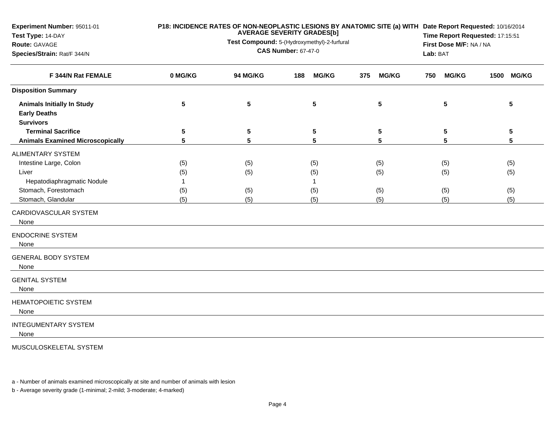| Experiment Number: 95011-01<br>Test Type: 14-DAY<br>Route: GAVAGE<br>Species/Strain: Rat/F 344/N |              | P18: INCIDENCE RATES OF NON-NEOPLASTIC LESIONS BY ANATOMIC SITE (a) WITH Date Report Requested: 10/16/2014<br>Time Report Requested: 17:15:51<br>First Dose M/F: NA / NA<br>Lab: BAT |                     |                     |                     |            |
|--------------------------------------------------------------------------------------------------|--------------|--------------------------------------------------------------------------------------------------------------------------------------------------------------------------------------|---------------------|---------------------|---------------------|------------|
| F 344/N Rat FEMALE                                                                               | 0 MG/KG      | 94 MG/KG                                                                                                                                                                             | <b>MG/KG</b><br>188 | 375<br><b>MG/KG</b> | <b>MG/KG</b><br>750 | 1500 MG/KG |
| <b>Disposition Summary</b>                                                                       |              |                                                                                                                                                                                      |                     |                     |                     |            |
| <b>Animals Initially In Study</b><br><b>Early Deaths</b>                                         | 5            | 5                                                                                                                                                                                    | 5                   | 5                   | 5                   | 5          |
| <b>Survivors</b>                                                                                 |              |                                                                                                                                                                                      |                     |                     |                     |            |
| <b>Terminal Sacrifice</b>                                                                        | 5            | 5                                                                                                                                                                                    | 5                   | 5                   | 5                   | $\sqrt{5}$ |
| <b>Animals Examined Microscopically</b>                                                          | 5            | 5                                                                                                                                                                                    | 5                   | 5                   | 5                   | 5          |
| <b>ALIMENTARY SYSTEM</b>                                                                         |              |                                                                                                                                                                                      |                     |                     |                     |            |
| Intestine Large, Colon                                                                           | (5)          | (5)                                                                                                                                                                                  | (5)                 | (5)                 | (5)                 | (5)        |
| Liver                                                                                            | (5)          | (5)                                                                                                                                                                                  | (5)                 | (5)                 | (5)                 | (5)        |
| Hepatodiaphragmatic Nodule                                                                       | $\mathbf{1}$ |                                                                                                                                                                                      | 1                   |                     |                     |            |
| Stomach, Forestomach                                                                             | (5)          | (5)                                                                                                                                                                                  | (5)                 | (5)                 | (5)                 | (5)        |
| Stomach, Glandular                                                                               | (5)          | (5)                                                                                                                                                                                  | (5)                 | (5)                 | (5)                 | (5)        |
| CARDIOVASCULAR SYSTEM<br>None                                                                    |              |                                                                                                                                                                                      |                     |                     |                     |            |
| <b>ENDOCRINE SYSTEM</b><br>None                                                                  |              |                                                                                                                                                                                      |                     |                     |                     |            |
| <b>GENERAL BODY SYSTEM</b><br>None                                                               |              |                                                                                                                                                                                      |                     |                     |                     |            |
| <b>GENITAL SYSTEM</b><br>None                                                                    |              |                                                                                                                                                                                      |                     |                     |                     |            |
| <b>HEMATOPOIETIC SYSTEM</b><br>None                                                              |              |                                                                                                                                                                                      |                     |                     |                     |            |
| <b>INTEGUMENTARY SYSTEM</b><br>None                                                              |              |                                                                                                                                                                                      |                     |                     |                     |            |
| MUSCULOSKELETAL SYSTEM                                                                           |              |                                                                                                                                                                                      |                     |                     |                     |            |

a - Number of animals examined microscopically at site and number of animals with lesion